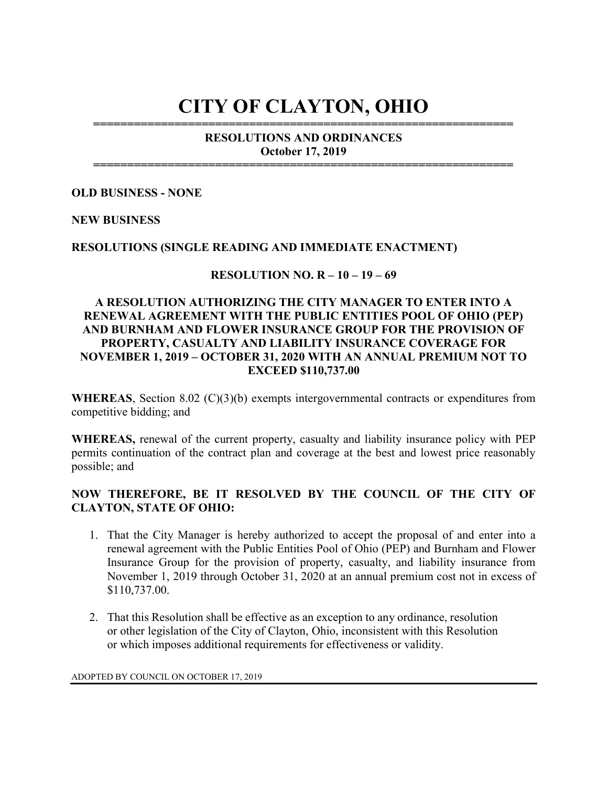# CITY OF CLAYTON, OHIO ==============================================================

## RESOLUTIONS AND ORDINANCES October 17, 2019

==============================================================

#### OLD BUSINESS - NONE

#### NEW BUSINESS

#### RESOLUTIONS (SINGLE READING AND IMMEDIATE ENACTMENT)

#### RESOLUTION NO. R – 10 – 19 – 69

## A RESOLUTION AUTHORIZING THE CITY MANAGER TO ENTER INTO A RENEWAL AGREEMENT WITH THE PUBLIC ENTITIES POOL OF OHIO (PEP) AND BURNHAM AND FLOWER INSURANCE GROUP FOR THE PROVISION OF PROPERTY, CASUALTY AND LIABILITY INSURANCE COVERAGE FOR NOVEMBER 1, 2019 – OCTOBER 31, 2020 WITH AN ANNUAL PREMIUM NOT TO EXCEED \$110,737.00

WHEREAS, Section 8.02 (C)(3)(b) exempts intergovernmental contracts or expenditures from competitive bidding; and

WHEREAS, renewal of the current property, casualty and liability insurance policy with PEP permits continuation of the contract plan and coverage at the best and lowest price reasonably possible; and

### NOW THEREFORE, BE IT RESOLVED BY THE COUNCIL OF THE CITY OF CLAYTON, STATE OF OHIO:

- 1. That the City Manager is hereby authorized to accept the proposal of and enter into a renewal agreement with the Public Entities Pool of Ohio (PEP) and Burnham and Flower Insurance Group for the provision of property, casualty, and liability insurance from November 1, 2019 through October 31, 2020 at an annual premium cost not in excess of \$110,737.00.
- 2. That this Resolution shall be effective as an exception to any ordinance, resolution or other legislation of the City of Clayton, Ohio, inconsistent with this Resolution or which imposes additional requirements for effectiveness or validity.

ADOPTED BY COUNCIL ON OCTOBER 17, 2019